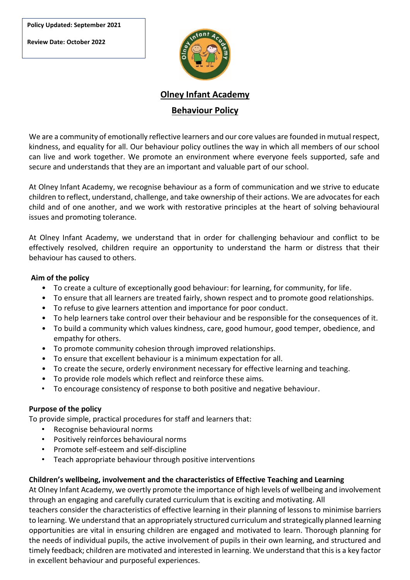**Policy Updated: September 2021** 

**Review Date: October 2022** 



**Olney Infant Academy** 

# **Behaviour Policy**

We are a community of emotionally reflective learners and our core values are founded in mutual respect, kindness, and equality for all. Our behaviour policy outlines the way in which all members of our school can live and work together. We promote an environment where everyone feels supported, safe and secure and understands that they are an important and valuable part of our school.

At Olney Infant Academy, we recognise behaviour as a form of communication and we strive to educate children to reflect, understand, challenge, and take ownership of their actions. We are advocates for each child and of one another, and we work with restorative principles at the heart of solving behavioural issues and promoting tolerance.

At Olney Infant Academy, we understand that in order for challenging behaviour and conflict to be effectively resolved, children require an opportunity to understand the harm or distress that their behaviour has caused to others.

## **Aim of the policy**

- To create a culture of exceptionally good behaviour: for learning, for community, for life.
- To ensure that all learners are treated fairly, shown respect and to promote good relationships.
- To refuse to give learners attention and importance for poor conduct.
- To help learners take control over their behaviour and be responsible for the consequences of it.
- To build a community which values kindness, care, good humour, good temper, obedience, and empathy for others.
- To promote community cohesion through improved relationships.
- To ensure that excellent behaviour is a minimum expectation for all.
- To create the secure, orderly environment necessary for effective learning and teaching.
- To provide role models which reflect and reinforce these aims.
- To encourage consistency of response to both positive and negative behaviour.

# **Purpose of the policy**

To provide simple, practical procedures for staff and learners that:

- Recognise behavioural norms
- Positively reinforces behavioural norms
- Promote self-esteem and self-discipline
- Teach appropriate behaviour through positive interventions

# **Children's wellbeing, involvement and the characteristics of Effective Teaching and Learning**

At Olney Infant Academy, we overtly promote the importance of high levels of wellbeing and involvement through an engaging and carefully curated curriculum that is exciting and motivating. All

teachers consider the characteristics of effective learning in their planning of lessons to minimise barriers to learning. We understand that an appropriately structured curriculum and strategically planned learning opportunities are vital in ensuring children are engaged and motivated to learn. Thorough planning for the needs of individual pupils, the active involvement of pupils in their own learning, and structured and timely feedback; children are motivated and interested in learning. We understand that this is a key factor in excellent behaviour and purposeful experiences.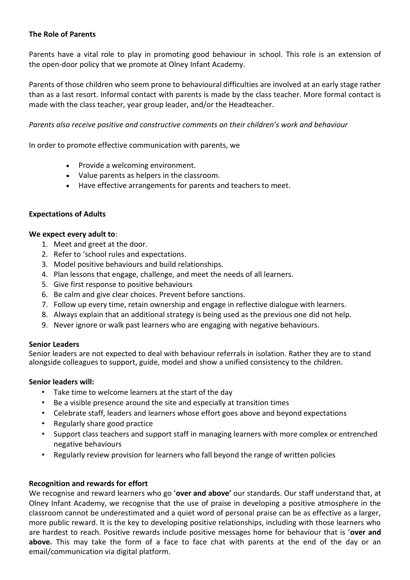## **The Role of Parents**

Parents have a vital role to play in promoting good behaviour in school. This role is an extension of the open-door policy that we promote at Olney Infant Academy.

Parents of those children who seem prone to behavioural difficulties are involved at an early stage rather than as a last resort. Informal contact with parents is made by the class teacher. More formal contact is made with the class teacher, year group leader, and/or the Headteacher.

## *Parents also receive positive and constructive comments on their children's work and behaviour*

In order to promote effective communication with parents, we

- Provide a welcoming environment.
- Value parents as helpers in the classroom.
- Have effective arrangements for parents and teachers to meet.

## **Expectations of Adults**

#### **We expect every adult to**:

- 1. Meet and greet at the door.
- 2. Refer to 'school rules and expectations.
- 3. Model positive behaviours and build relationships.
- 4. Plan lessons that engage, challenge, and meet the needs of all learners.
- 5. Give first response to positive behaviours
- 6. Be calm and give clear choices. Prevent before sanctions.
- 7. Follow up every time, retain ownership and engage in reflective dialogue with learners.
- 8. Always explain that an additional strategy is being used as the previous one did not help.
- 9. Never ignore or walk past learners who are engaging with negative behaviours.

#### **Senior Leaders**

Senior leaders are not expected to deal with behaviour referrals in isolation. Rather they are to stand alongside colleagues to support, guide, model and show a unified consistency to the children.

#### **Senior leaders will:**

- Take time to welcome learners at the start of the day
- Be a visible presence around the site and especially at transition times
- Celebrate staff, leaders and learners whose effort goes above and beyond expectations
- Regularly share good practice
- Support class teachers and support staff in managing learners with more complex or entrenched negative behaviours
- Regularly review provision for learners who fall beyond the range of written policies

#### **Recognition and rewards for effort**

We recognise and reward learners who go '**over and above'** our standards. Our staff understand that, at Olney Infant Academy, we recognise that the use of praise in developing a positive atmosphere in the classroom cannot be underestimated and a quiet word of personal praise can be as effective as a larger, more public reward. It is the key to developing positive relationships, including with those learners who are hardest to reach. Positive rewards include positive messages home for behaviour that is '**over and above.** This may take the form of a face to face chat with parents at the end of the day or an email/communication via digital platform.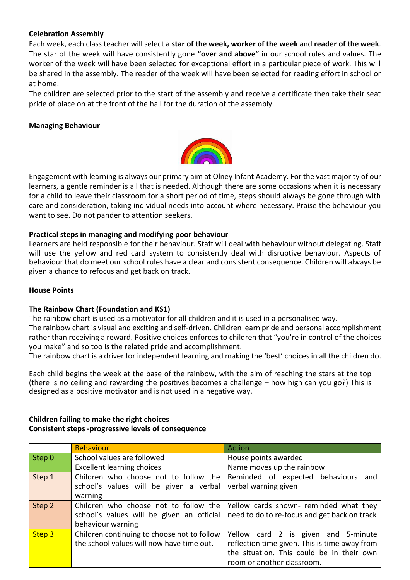## **Celebration Assembly**

Each week, each class teacher will select a **star of the week, worker of the week** and **reader of the week**. The star of the week will have consistently gone **"over and above"** in our school rules and values. The worker of the week will have been selected for exceptional effort in a particular piece of work. This will be shared in the assembly. The reader of the week will have been selected for reading effort in school or at home.

The children are selected prior to the start of the assembly and receive a certificate then take their seat pride of place on at the front of the hall for the duration of the assembly.

#### **Managing Behaviour**



Engagement with learning is always our primary aim at Olney Infant Academy. For the vast majority of our learners, a gentle reminder is all that is needed. Although there are some occasions when it is necessary for a child to leave their classroom for a short period of time, steps should always be gone through with care and consideration, taking individual needs into account where necessary. Praise the behaviour you want to see. Do not pander to attention seekers.

## **Practical steps in managing and modifying poor behaviour**

Learners are held responsible for their behaviour. Staff will deal with behaviour without delegating. Staff will use the yellow and red card system to consistently deal with disruptive behaviour. Aspects of behaviour that do meet our school rules have a clear and consistent consequence. Children will always be given a chance to refocus and get back on track.

#### **House Points**

#### **The Rainbow Chart (Foundation and KS1)**

The rainbow chart is used as a motivator for all children and it is used in a personalised way. The rainbow chart is visual and exciting and self-driven. Children learn pride and personal accomplishment rather than receiving a reward. Positive choices enforces to children that "you're in control of the choices you make" and so too is the related pride and accomplishment.

The rainbow chart is a driver for independent learning and making the 'best' choices in all the children do.

Each child begins the week at the base of the rainbow, with the aim of reaching the stars at the top (there is no ceiling and rewarding the positives becomes a challenge – how high can you go?) This is designed as a positive motivator and is not used in a negative way.

## **Children failing to make the right choices Consistent steps -progressive levels of consequence**

|        | <b>Behaviour</b>                            | Action                                        |
|--------|---------------------------------------------|-----------------------------------------------|
| Step 0 | School values are followed                  | House points awarded                          |
|        | <b>Excellent learning choices</b>           | Name moves up the rainbow                     |
| Step 1 | Children who choose not to follow the       | Reminded of expected behaviours and           |
|        | school's values will be given a verbal      | verbal warning given                          |
|        | warning                                     |                                               |
| Step 2 | Children who choose not to follow the       | Yellow cards shown- reminded what they        |
|        | school's values will be given an official   | need to do to re-focus and get back on track  |
|        | behaviour warning                           |                                               |
| Step 3 | Children continuing to choose not to follow | Yellow card 2 is given and 5-minute           |
|        | the school values will now have time out.   | reflection time given. This is time away from |
|        |                                             | the situation. This could be in their own     |
|        |                                             | room or another classroom.                    |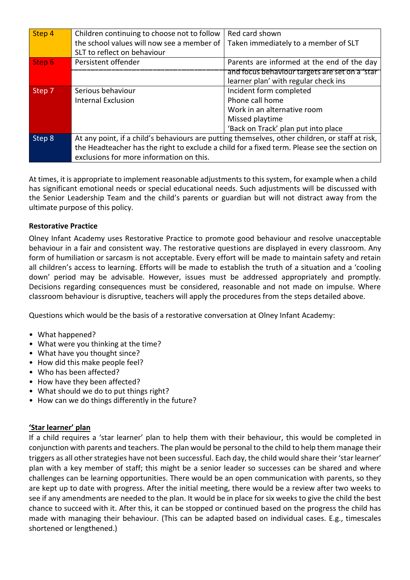| Step 4 | Children continuing to choose not to follow                                                     | Red card shown                                  |
|--------|-------------------------------------------------------------------------------------------------|-------------------------------------------------|
|        | the school values will now see a member of                                                      | Taken immediately to a member of SLT            |
|        | SLT to reflect on behaviour                                                                     |                                                 |
| Step 6 | Persistent offender                                                                             | Parents are informed at the end of the day      |
|        |                                                                                                 | and focus behaviour targets are set on a 'star' |
|        |                                                                                                 | learner plan' with regular check ins            |
| Step 7 | Serious behaviour                                                                               | Incident form completed                         |
|        | <b>Internal Exclusion</b>                                                                       | Phone call home                                 |
|        |                                                                                                 | Work in an alternative room                     |
|        |                                                                                                 | Missed playtime                                 |
|        |                                                                                                 | 'Back on Track' plan put into place             |
| Step 8 | At any point, if a child's behaviours are putting themselves, other children, or staff at risk, |                                                 |
|        | the Headteacher has the right to exclude a child for a fixed term. Please see the section on    |                                                 |
|        | exclusions for more information on this.                                                        |                                                 |

At times, it is appropriate to implement reasonable adjustments to this system, for example when a child has significant emotional needs or special educational needs. Such adjustments will be discussed with the Senior Leadership Team and the child's parents or guardian but will not distract away from the ultimate purpose of this policy.

## **Restorative Practice**

Olney Infant Academy uses Restorative Practice to promote good behaviour and resolve unacceptable behaviour in a fair and consistent way. The restorative questions are displayed in every classroom. Any form of humiliation or sarcasm is not acceptable. Every effort will be made to maintain safety and retain all children's access to learning. Efforts will be made to establish the truth of a situation and a 'cooling down' period may be advisable. However, issues must be addressed appropriately and promptly. Decisions regarding consequences must be considered, reasonable and not made on impulse. Where classroom behaviour is disruptive, teachers will apply the procedures from the steps detailed above.

Questions which would be the basis of a restorative conversation at Olney Infant Academy:

- What happened?
- What were you thinking at the time?
- What have you thought since?
- How did this make people feel?
- Who has been affected?
- How have they been affected?
- What should we do to put things right?
- How can we do things differently in the future?

#### **'Star learner' plan**

If a child requires a 'star learner' plan to help them with their behaviour, this would be completed in conjunction with parents and teachers. The plan would be personal to the child to help them manage their triggers as all other strategies have not been successful. Each day, the child would share their 'star learner' plan with a key member of staff; this might be a senior leader so successes can be shared and where challenges can be learning opportunities. There would be an open communication with parents, so they are kept up to date with progress. After the initial meeting, there would be a review after two weeks to see if any amendments are needed to the plan. It would be in place for six weeks to give the child the best chance to succeed with it. After this, it can be stopped or continued based on the progress the child has made with managing their behaviour. (This can be adapted based on individual cases. E.g., timescales shortened or lengthened.)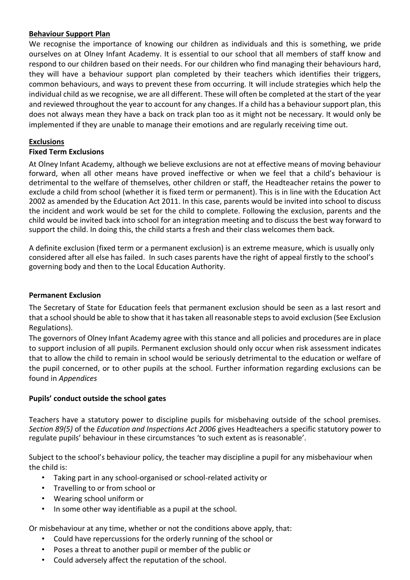## **Behaviour Support Plan**

We recognise the importance of knowing our children as individuals and this is something, we pride ourselves on at Olney Infant Academy. It is essential to our school that all members of staff know and respond to our children based on their needs. For our children who find managing their behaviours hard, they will have a behaviour support plan completed by their teachers which identifies their triggers, common behaviours, and ways to prevent these from occurring. It will include strategies which help the individual child as we recognise, we are all different. These will often be completed at the start of the year and reviewed throughout the year to account for any changes. If a child has a behaviour support plan, this does not always mean they have a back on track plan too as it might not be necessary. It would only be implemented if they are unable to manage their emotions and are regularly receiving time out.

## **Exclusions**

## **Fixed Term Exclusions**

At Olney Infant Academy, although we believe exclusions are not at effective means of moving behaviour forward, when all other means have proved ineffective or when we feel that a child's behaviour is detrimental to the welfare of themselves, other children or staff, the Headteacher retains the power to exclude a child from school (whether it is fixed term or permanent). This is in line with the Education Act 2002 as amended by the Education Act 2011. In this case, parents would be invited into school to discuss the incident and work would be set for the child to complete. Following the exclusion, parents and the child would be invited back into school for an integration meeting and to discuss the best way forward to support the child. In doing this, the child starts a fresh and their class welcomes them back.

A definite exclusion (fixed term or a permanent exclusion) is an extreme measure, which is usually only considered after all else has failed. In such cases parents have the right of appeal firstly to the school's governing body and then to the Local Education Authority.

#### **Permanent Exclusion**

The Secretary of State for Education feels that permanent exclusion should be seen as a last resort and that a school should be able to show that it has taken all reasonable steps to avoid exclusion (See Exclusion Regulations).

The governors of Olney Infant Academy agree with this stance and all policies and procedures are in place to support inclusion of all pupils. Permanent exclusion should only occur when risk assessment indicates that to allow the child to remain in school would be seriously detrimental to the education or welfare of the pupil concerned, or to other pupils at the school. Further information regarding exclusions can be found in *Appendices*

#### **Pupils' conduct outside the school gates**

Teachers have a statutory power to discipline pupils for misbehaving outside of the school premises. *Section 89(5)* of the *Education and Inspections Act 2006* gives Headteachers a specific statutory power to regulate pupils' behaviour in these circumstances 'to such extent as is reasonable'.

Subject to the school's behaviour policy, the teacher may discipline a pupil for any misbehaviour when the child is:

- Taking part in any school-organised or school-related activity or
- Travelling to or from school or
- Wearing school uniform or
- In some other way identifiable as a pupil at the school.

Or misbehaviour at any time, whether or not the conditions above apply, that:

- Could have repercussions for the orderly running of the school or
- Poses a threat to another pupil or member of the public or
- Could adversely affect the reputation of the school.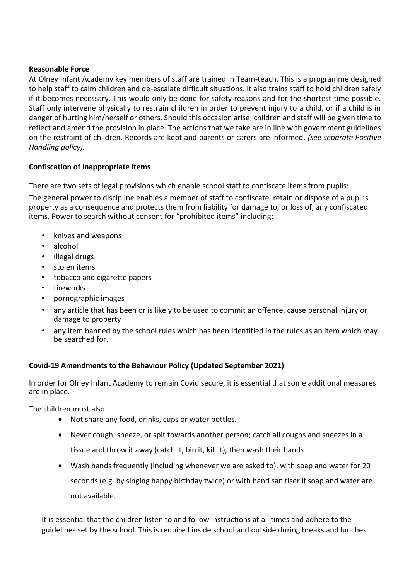## **Reasonable Force**

At Olney Infant Academy key members of staff are trained in Team-teach. This is a programme designed to help staff to calm children and de-escalate difficult situations. It also trains staff to hold children safely if it becomes necessary. This would only be done for safety reasons and for the shortest time possible. Staff only intervene physically to restrain children in order to prevent injury to a child, or if a child is in danger of hurting him/herself or others. Should this occasion arise, children and staff will be given time to reflect and amend the provision in place. The actions that we take are in line with government guidelines on the restraint of children. Records are kept and parents or carers are informed. *(see separate Positive Handling policy).*

# **Confiscation of Inappropriate items**

There are two sets of legal provisions which enable school staff to confiscate items from pupils:

The general power to discipline enables a member of staff to confiscate, retain or dispose of a pupil's property as a consequence and protects them from liability for damage to, or loss of, any confiscated items. Power to search without consent for "prohibited items" including:

- knives and weapons
- alcohol
- illegal drugs
- stolen items
- tobacco and cigarette papers
- fireworks
- pornographic images
- any article that has been or is likely to be used to commit an offence, cause personal injury or damage to property
- any item banned by the school rules which has been identified in the rules as an item which may be searched for.

# **Covid-19 Amendments to the Behaviour Policy (Updated September 2021)**

In order for Olney Infant Academy to remain Covid secure, it is essential that some additional measures are in place.

The children must also

- Not share any food, drinks, cups or water bottles.
- Never cough, sneeze, or spit towards another person; catch all coughs and sneezes in a tissue and throw it away (catch it, bin it, kill it), then wash their hands
- Wash hands frequently (including whenever we are asked to), with soap and water for 20 seconds (e.g. by singing happy birthday twice) or with hand sanitiser if soap and water are not available.

It is essential that the children listen to and follow instructions at all times and adhere to the guidelines set by the school. This is required inside school and outside during breaks and lunches.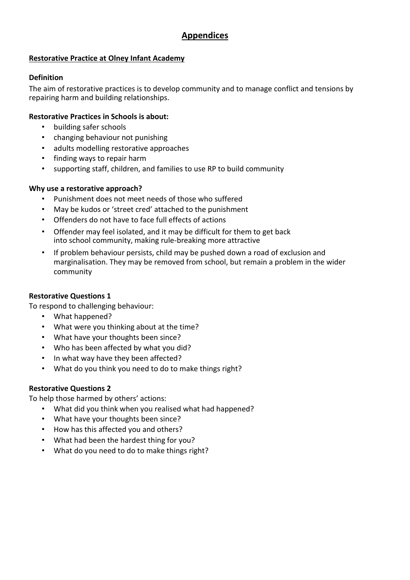# **Appendices**

# **Restorative Practice at Olney Infant Academy**

# **Definition**

The aim of restorative practices is to develop community and to manage conflict and tensions by repairing harm and building relationships.

# **Restorative Practices in Schools is about:**

- building safer schools
- changing behaviour not punishing
- adults modelling restorative approaches
- finding ways to repair harm
- supporting staff, children, and families to use RP to build community

# **Why use a restorative approach?**

- Punishment does not meet needs of those who suffered
- May be kudos or 'street cred' attached to the punishment
- Offenders do not have to face full effects of actions
- Offender may feel isolated, and it may be difficult for them to get back into school community, making rule-breaking more attractive
- If problem behaviour persists, child may be pushed down a road of exclusion and marginalisation. They may be removed from school, but remain a problem in the wider community

# **Restorative Questions 1**

To respond to challenging behaviour:

- What happened?
- What were you thinking about at the time?
- What have your thoughts been since?
- Who has been affected by what you did?
- In what way have they been affected?
- What do you think you need to do to make things right?

# **Restorative Questions 2**

To help those harmed by others' actions:

- What did you think when you realised what had happened?
- What have your thoughts been since?
- How has this affected you and others?
- What had been the hardest thing for you?
- What do you need to do to make things right?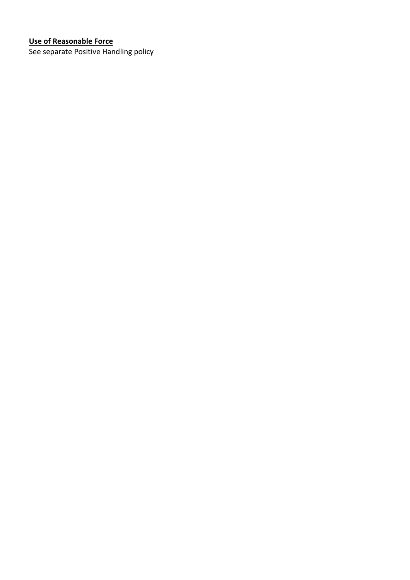# **Use of Reasonable Force**

See separate Positive Handling policy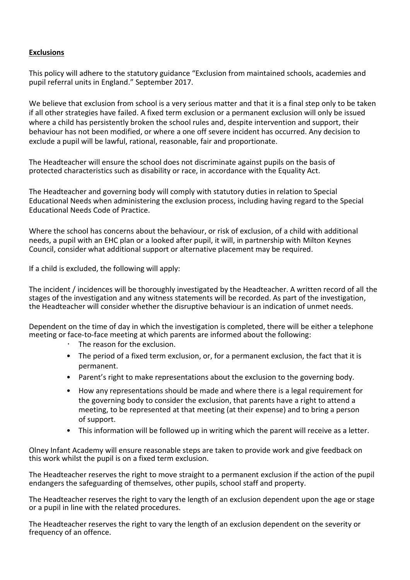## **Exclusions**

This policy will adhere to the statutory guidance "Exclusion from maintained schools, academies and pupil referral units in England." September 2017.

We believe that exclusion from school is a very serious matter and that it is a final step only to be taken if all other strategies have failed. A fixed term exclusion or a permanent exclusion will only be issued where a child has persistently broken the school rules and, despite intervention and support, their behaviour has not been modified, or where a one off severe incident has occurred. Any decision to exclude a pupil will be lawful, rational, reasonable, fair and proportionate.

The Headteacher will ensure the school does not discriminate against pupils on the basis of protected characteristics such as disability or race, in accordance with the Equality Act.

The Headteacher and governing body will comply with statutory duties in relation to Special Educational Needs when administering the exclusion process, including having regard to the Special Educational Needs Code of Practice.

Where the school has concerns about the behaviour, or risk of exclusion, of a child with additional needs, a pupil with an EHC plan or a looked after pupil, it will, in partnership with Milton Keynes Council, consider what additional support or alternative placement may be required.

If a child is excluded, the following will apply:

The incident / incidences will be thoroughly investigated by the Headteacher. A written record of all the stages of the investigation and any witness statements will be recorded. As part of the investigation, the Headteacher will consider whether the disruptive behaviour is an indication of unmet needs.

Dependent on the time of day in which the investigation is completed, there will be either a telephone meeting or face-to-face meeting at which parents are informed about the following:

- The reason for the exclusion.
- The period of a fixed term exclusion, or, for a permanent exclusion, the fact that it is permanent.
- Parent's right to make representations about the exclusion to the governing body.
- How any representations should be made and where there is a legal requirement for the governing body to consider the exclusion, that parents have a right to attend a meeting, to be represented at that meeting (at their expense) and to bring a person of support.
- This information will be followed up in writing which the parent will receive as a letter.

Olney Infant Academy will ensure reasonable steps are taken to provide work and give feedback on this work whilst the pupil is on a fixed term exclusion.

The Headteacher reserves the right to move straight to a permanent exclusion if the action of the pupil endangers the safeguarding of themselves, other pupils, school staff and property.

The Headteacher reserves the right to vary the length of an exclusion dependent upon the age or stage or a pupil in line with the related procedures.

The Headteacher reserves the right to vary the length of an exclusion dependent on the severity or frequency of an offence.